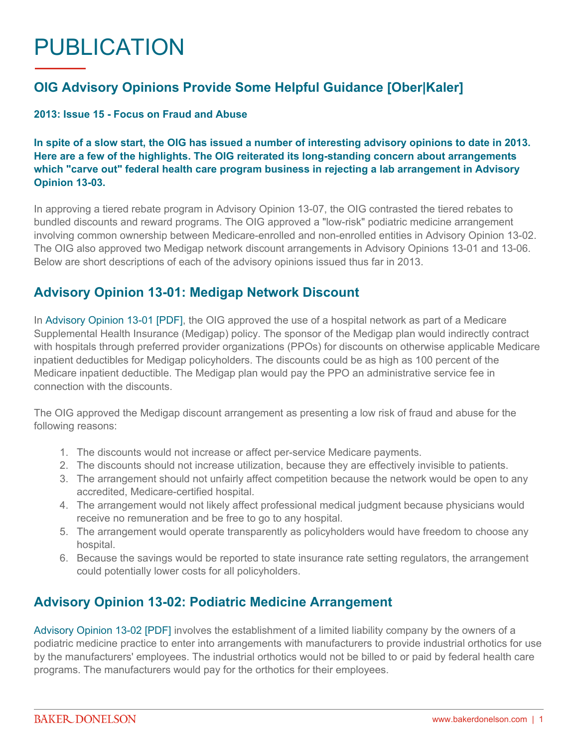# PUBLICATION

## **OIG Advisory Opinions Provide Some Helpful Guidance [Ober|Kaler]**

#### **2013: Issue 15 - Focus on Fraud and Abuse**

**In spite of a slow start, the OIG has issued a number of interesting advisory opinions to date in 2013. Here are a few of the highlights. The OIG reiterated its long-standing concern about arrangements which "carve out" federal health care program business in rejecting a lab arrangement in Advisory Opinion 13-03.**

In approving a tiered rebate program in Advisory Opinion 13-07, the OIG contrasted the tiered rebates to bundled discounts and reward programs. The OIG approved a "low-risk" podiatric medicine arrangement involving common ownership between Medicare-enrolled and non-enrolled entities in Advisory Opinion 13-02. The OIG also approved two Medigap network discount arrangements in Advisory Opinions 13-01 and 13-06. Below are short descriptions of each of the advisory opinions issued thus far in 2013.

#### **Advisory Opinion 13-01: Medigap Network Discount**

In [Advisory Opinion 13-01 \[PDF\],](http://oig.hhs.gov/fraud/docs/advisoryopinions/2013/AdvOpn13-01.pdf) the OIG approved the use of a hospital network as part of a Medicare Supplemental Health Insurance (Medigap) policy. The sponsor of the Medigap plan would indirectly contract with hospitals through preferred provider organizations (PPOs) for discounts on otherwise applicable Medicare inpatient deductibles for Medigap policyholders. The discounts could be as high as 100 percent of the Medicare inpatient deductible. The Medigap plan would pay the PPO an administrative service fee in connection with the discounts.

The OIG approved the Medigap discount arrangement as presenting a low risk of fraud and abuse for the following reasons:

- 1. The discounts would not increase or affect per-service Medicare payments.
- 2. The discounts should not increase utilization, because they are effectively invisible to patients.
- 3. The arrangement should not unfairly affect competition because the network would be open to any accredited, Medicare-certified hospital.
- 4. The arrangement would not likely affect professional medical judgment because physicians would receive no remuneration and be free to go to any hospital.
- 5. The arrangement would operate transparently as policyholders would have freedom to choose any hospital.
- 6. Because the savings would be reported to state insurance rate setting regulators, the arrangement could potentially lower costs for all policyholders.

#### **Advisory Opinion 13-02: Podiatric Medicine Arrangement**

[Advisory Opinion 13-02 \[PDF\]](http://oig.hhs.gov/fraud/docs/advisoryopinions/2013/AdvOpn13-02.pdf) involves the establishment of a limited liability company by the owners of a podiatric medicine practice to enter into arrangements with manufacturers to provide industrial orthotics for use by the manufacturers' employees. The industrial orthotics would not be billed to or paid by federal health care programs. The manufacturers would pay for the orthotics for their employees.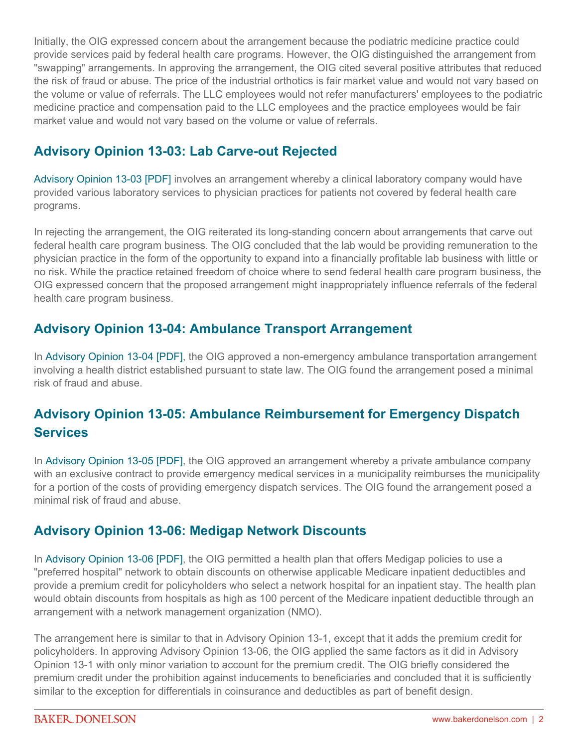Initially, the OIG expressed concern about the arrangement because the podiatric medicine practice could provide services paid by federal health care programs. However, the OIG distinguished the arrangement from "swapping" arrangements. In approving the arrangement, the OIG cited several positive attributes that reduced the risk of fraud or abuse. The price of the industrial orthotics is fair market value and would not vary based on the volume or value of referrals. The LLC employees would not refer manufacturers' employees to the podiatric medicine practice and compensation paid to the LLC employees and the practice employees would be fair market value and would not vary based on the volume or value of referrals.

## **Advisory Opinion 13-03: Lab Carve-out Rejected**

[Advisory Opinion 13-03 \[PDF\]](http://oig.hhs.gov/fraud/docs/advisoryopinions/2013/AdvOpn13-03.pdf) involves an arrangement whereby a clinical laboratory company would have provided various laboratory services to physician practices for patients not covered by federal health care programs.

In rejecting the arrangement, the OIG reiterated its long-standing concern about arrangements that carve out federal health care program business. The OIG concluded that the lab would be providing remuneration to the physician practice in the form of the opportunity to expand into a financially profitable lab business with little or no risk. While the practice retained freedom of choice where to send federal health care program business, the OIG expressed concern that the proposed arrangement might inappropriately influence referrals of the federal health care program business.

#### **Advisory Opinion 13-04: Ambulance Transport Arrangement**

In [Advisory Opinion 13-04 \[PDF\],](http://oig.hhs.gov/fraud/docs/advisoryopinions/2013/AdvOpn13-04.pdf) the OIG approved a non-emergency ambulance transportation arrangement involving a health district established pursuant to state law. The OIG found the arrangement posed a minimal risk of fraud and abuse.

# **Advisory Opinion 13-05: Ambulance Reimbursement for Emergency Dispatch Services**

In [Advisory Opinion 13-05 \[PDF\],](http://oig.hhs.gov/fraud/docs/advisoryopinions/2013/AdvOpn13-05.pdf) the OIG approved an arrangement whereby a private ambulance company with an exclusive contract to provide emergency medical services in a municipality reimburses the municipality for a portion of the costs of providing emergency dispatch services. The OIG found the arrangement posed a minimal risk of fraud and abuse.

#### **Advisory Opinion 13-06: Medigap Network Discounts**

In [Advisory Opinion 13-06 \[PDF\],](http://oig.hhs.gov/fraud/docs/advisoryopinions/2013/AdvOpn13-06.pdf) the OIG permitted a health plan that offers Medigap policies to use a "preferred hospital" network to obtain discounts on otherwise applicable Medicare inpatient deductibles and provide a premium credit for policyholders who select a network hospital for an inpatient stay. The health plan would obtain discounts from hospitals as high as 100 percent of the Medicare inpatient deductible through an arrangement with a network management organization (NMO).

The arrangement here is similar to that in Advisory Opinion 13-1, except that it adds the premium credit for policyholders. In approving Advisory Opinion 13-06, the OIG applied the same factors as it did in Advisory Opinion 13-1 with only minor variation to account for the premium credit. The OIG briefly considered the premium credit under the prohibition against inducements to beneficiaries and concluded that it is sufficiently similar to the exception for differentials in coinsurance and deductibles as part of benefit design.